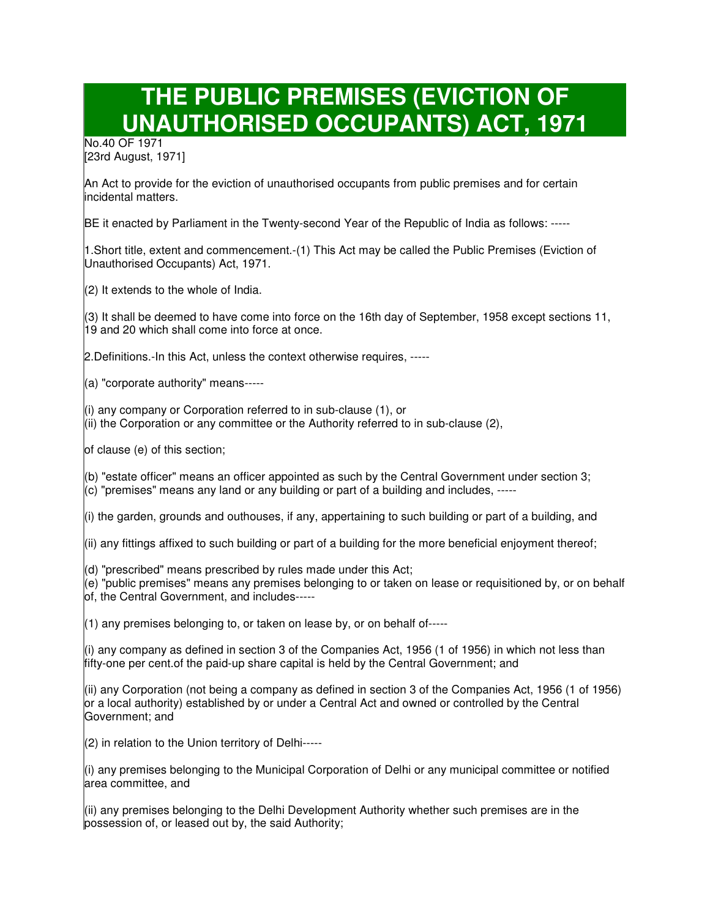## **THE PUBLIC PREMISES (EVICTION OF UNAUTHORISED OCCUPANTS) ACT, 1971**

No.40 OF 1971 [23rd August, 1971]

An Act to provide for the eviction of unauthorised occupants from public premises and for certain incidental matters.

BE it enacted by Parliament in the Twenty-second Year of the Republic of India as follows: -----

1.Short title, extent and commencement.-(1) This Act may be called the Public Premises (Eviction of Unauthorised Occupants) Act, 1971.

 $(2)$  It extends to the whole of India.

(3) It shall be deemed to have come into force on the 16th day of September, 1958 except sections 11, 19 and 20 which shall come into force at once.

2.Definitions.-In this Act, unless the context otherwise requires, -----

(a) "corporate authority" means-----

(i) any company or Corporation referred to in sub-clause (1), or

(ii) the Corporation or any committee or the Authority referred to in sub-clause (2),

of clause (e) of this section;

(b) "estate officer" means an officer appointed as such by the Central Government under section 3; (c) "premises" means any land or any building or part of a building and includes, -----

(i) the garden, grounds and outhouses, if any, appertaining to such building or part of a building, and

(ii) any fittings affixed to such building or part of a building for the more beneficial enjoyment thereof;

 $|d\rangle$  "prescribed" means prescribed by rules made under this Act;

(e) "public premises" means any premises belonging to or taken on lease or requisitioned by, or on behalf of, the Central Government, and includes-----

 $(1)$  any premises belonging to, or taken on lease by, or on behalf of-----

(i) any company as defined in section 3 of the Companies Act, 1956 (1 of 1956) in which not less than fifty-one per cent.of the paid-up share capital is held by the Central Government; and

(ii) any Corporation (not being a company as defined in section 3 of the Companies Act, 1956 (1 of 1956) or a local authority) established by or under a Central Act and owned or controlled by the Central Government; and

(2) in relation to the Union territory of Delhi-----

(i) any premises belonging to the Municipal Corporation of Delhi or any municipal committee or notified area committee, and

(ii) any premises belonging to the Delhi Development Authority whether such premises are in the possession of, or leased out by, the said Authority;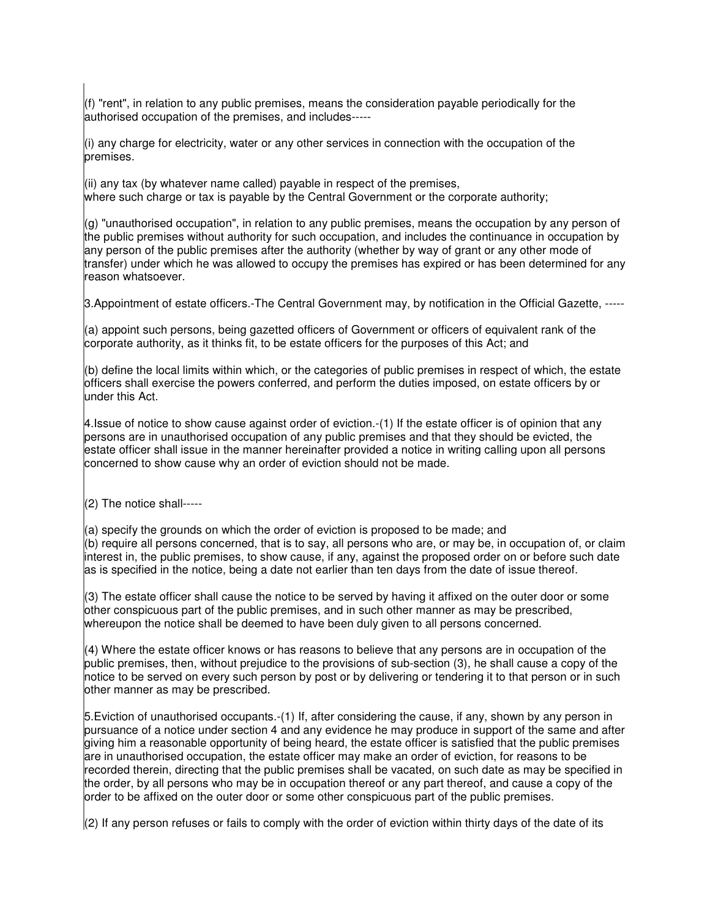$(f)$  "rent", in relation to any public premises, means the consideration payable periodically for the authorised occupation of the premises, and includes-----

(i) any charge for electricity, water or any other services in connection with the occupation of the premises.

(ii) any tax (by whatever name called) payable in respect of the premises, where such charge or tax is payable by the Central Government or the corporate authority;

 $(g)$  "unauthorised occupation", in relation to any public premises, means the occupation by any person of the public premises without authority for such occupation, and includes the continuance in occupation by any person of the public premises after the authority (whether by way of grant or any other mode of transfer) under which he was allowed to occupy the premises has expired or has been determined for any reason whatsoever.

3.Appointment of estate officers.-The Central Government may, by notification in the Official Gazette, -----

(a) appoint such persons, being gazetted officers of Government or officers of equivalent rank of the corporate authority, as it thinks fit, to be estate officers for the purposes of this Act; and

(b) define the local limits within which, or the categories of public premises in respect of which, the estate officers shall exercise the powers conferred, and perform the duties imposed, on estate officers by or under this Act.

4.Issue of notice to show cause against order of eviction.-(1) If the estate officer is of opinion that any persons are in unauthorised occupation of any public premises and that they should be evicted, the estate officer shall issue in the manner hereinafter provided a notice in writing calling upon all persons concerned to show cause why an order of eviction should not be made.

(2) The notice shall-----

 $(a)$  specify the grounds on which the order of eviction is proposed to be made; and (b) require all persons concerned, that is to say, all persons who are, or may be, in occupation of, or claim interest in, the public premises, to show cause, if any, against the proposed order on or before such date as is specified in the notice, being a date not earlier than ten days from the date of issue thereof.

(3) The estate officer shall cause the notice to be served by having it affixed on the outer door or some other conspicuous part of the public premises, and in such other manner as may be prescribed, whereupon the notice shall be deemed to have been duly given to all persons concerned.

 $(4)$  Where the estate officer knows or has reasons to believe that any persons are in occupation of the public premises, then, without prejudice to the provisions of sub-section (3), he shall cause a copy of the notice to be served on every such person by post or by delivering or tendering it to that person or in such other manner as may be prescribed.

5.Eviction of unauthorised occupants.-(1) If, after considering the cause, if any, shown by any person in pursuance of a notice under section 4 and any evidence he may produce in support of the same and after giving him a reasonable opportunity of being heard, the estate officer is satisfied that the public premises are in unauthorised occupation, the estate officer may make an order of eviction, for reasons to be recorded therein, directing that the public premises shall be vacated, on such date as may be specified in the order, by all persons who may be in occupation thereof or any part thereof, and cause a copy of the order to be affixed on the outer door or some other conspicuous part of the public premises.

(2) If any person refuses or fails to comply with the order of eviction within thirty days of the date of its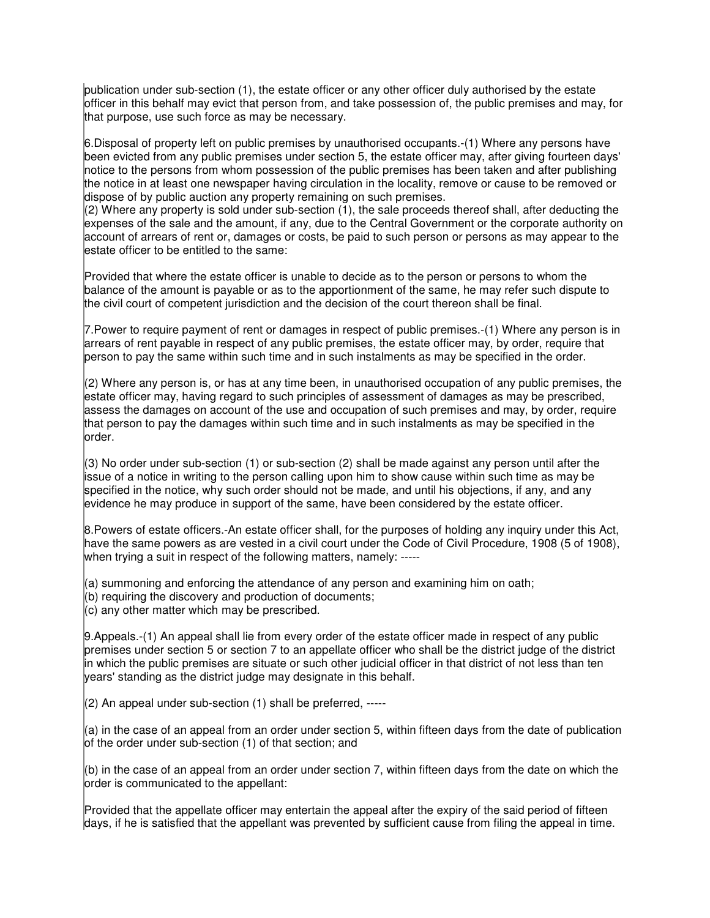publication under sub-section (1), the estate officer or any other officer duly authorised by the estate officer in this behalf may evict that person from, and take possession of, the public premises and may, for that purpose, use such force as may be necessary.

6.Disposal of property left on public premises by unauthorised occupants.-(1) Where any persons have been evicted from any public premises under section 5, the estate officer may, after giving fourteen days' notice to the persons from whom possession of the public premises has been taken and after publishing the notice in at least one newspaper having circulation in the locality, remove or cause to be removed or dispose of by public auction any property remaining on such premises.

 $(2)$  Where any property is sold under sub-section (1), the sale proceeds thereof shall, after deducting the expenses of the sale and the amount, if any, due to the Central Government or the corporate authority on account of arrears of rent or, damages or costs, be paid to such person or persons as may appear to the estate officer to be entitled to the same:

Provided that where the estate officer is unable to decide as to the person or persons to whom the balance of the amount is payable or as to the apportionment of the same, he may refer such dispute to the civil court of competent jurisdiction and the decision of the court thereon shall be final.

7.Power to require payment of rent or damages in respect of public premises.-(1) Where any person is in arrears of rent payable in respect of any public premises, the estate officer may, by order, require that person to pay the same within such time and in such instalments as may be specified in the order.

 $(2)$  Where any person is, or has at any time been, in unauthorised occupation of any public premises, the estate officer may, having regard to such principles of assessment of damages as may be prescribed, assess the damages on account of the use and occupation of such premises and may, by order, require that person to pay the damages within such time and in such instalments as may be specified in the order.

(3) No order under sub-section (1) or sub-section (2) shall be made against any person until after the issue of a notice in writing to the person calling upon him to show cause within such time as may be specified in the notice, why such order should not be made, and until his objections, if any, and any evidence he may produce in support of the same, have been considered by the estate officer.

8.Powers of estate officers.-An estate officer shall, for the purposes of holding any inquiry under this Act, have the same powers as are vested in a civil court under the Code of Civil Procedure, 1908 (5 of 1908), when trying a suit in respect of the following matters, namely: -----

(a) summoning and enforcing the attendance of any person and examining him on oath;

 $(6)$  requiring the discovery and production of documents;

 $\vert$ (c) any other matter which may be prescribed.

9.Appeals.-(1) An appeal shall lie from every order of the estate officer made in respect of any public premises under section 5 or section 7 to an appellate officer who shall be the district judge of the district in which the public premises are situate or such other judicial officer in that district of not less than ten years' standing as the district judge may designate in this behalf.

(2) An appeal under sub-section (1) shall be preferred, -----

(a) in the case of an appeal from an order under section 5, within fifteen days from the date of publication of the order under sub-section (1) of that section; and

(b) in the case of an appeal from an order under section 7, within fifteen days from the date on which the order is communicated to the appellant:

Provided that the appellate officer may entertain the appeal after the expiry of the said period of fifteen days, if he is satisfied that the appellant was prevented by sufficient cause from filing the appeal in time.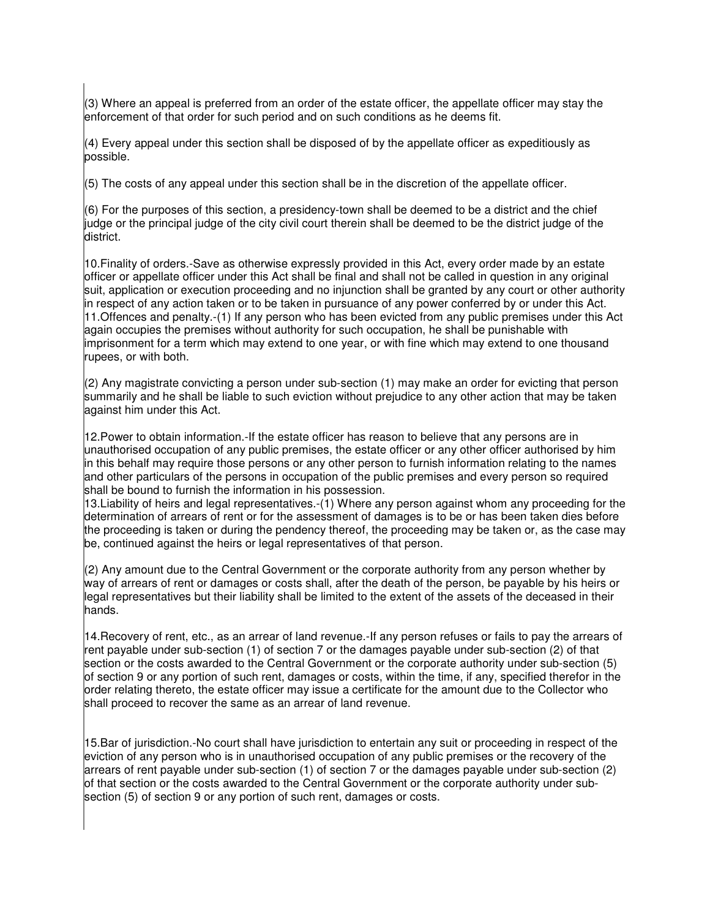$(3)$  Where an appeal is preferred from an order of the estate officer, the appellate officer may stay the enforcement of that order for such period and on such conditions as he deems fit.

 $(4)$  Every appeal under this section shall be disposed of by the appellate officer as expeditiously as possible.

(5) The costs of any appeal under this section shall be in the discretion of the appellate officer.

(6) For the purposes of this section, a presidency-town shall be deemed to be a district and the chief judge or the principal judge of the city civil court therein shall be deemed to be the district judge of the district.

10.Finality of orders.-Save as otherwise expressly provided in this Act, every order made by an estate officer or appellate officer under this Act shall be final and shall not be called in question in any original suit, application or execution proceeding and no injunction shall be granted by any court or other authority in respect of any action taken or to be taken in pursuance of any power conferred by or under this Act. 11.Offences and penalty.-(1) If any person who has been evicted from any public premises under this Act again occupies the premises without authority for such occupation, he shall be punishable with imprisonment for a term which may extend to one year, or with fine which may extend to one thousand rupees, or with both.

 $(2)$  Any magistrate convicting a person under sub-section (1) may make an order for evicting that person summarily and he shall be liable to such eviction without prejudice to any other action that may be taken against him under this Act.

12.Power to obtain information.-If the estate officer has reason to believe that any persons are in unauthorised occupation of any public premises, the estate officer or any other officer authorised by him in this behalf may require those persons or any other person to furnish information relating to the names and other particulars of the persons in occupation of the public premises and every person so required shall be bound to furnish the information in his possession.

13.Liability of heirs and legal representatives.-(1) Where any person against whom any proceeding for the determination of arrears of rent or for the assessment of damages is to be or has been taken dies before the proceeding is taken or during the pendency thereof, the proceeding may be taken or, as the case may be, continued against the heirs or legal representatives of that person.

 $(2)$  Any amount due to the Central Government or the corporate authority from any person whether by way of arrears of rent or damages or costs shall, after the death of the person, be payable by his heirs or legal representatives but their liability shall be limited to the extent of the assets of the deceased in their hands.

14.Recovery of rent, etc., as an arrear of land revenue.-If any person refuses or fails to pay the arrears of rent payable under sub-section (1) of section 7 or the damages payable under sub-section (2) of that section or the costs awarded to the Central Government or the corporate authority under sub-section (5) of section 9 or any portion of such rent, damages or costs, within the time, if any, specified therefor in the order relating thereto, the estate officer may issue a certificate for the amount due to the Collector who shall proceed to recover the same as an arrear of land revenue.

15.Bar of jurisdiction.-No court shall have jurisdiction to entertain any suit or proceeding in respect of the eviction of any person who is in unauthorised occupation of any public premises or the recovery of the arrears of rent payable under sub-section (1) of section 7 or the damages payable under sub-section (2) of that section or the costs awarded to the Central Government or the corporate authority under subsection (5) of section 9 or any portion of such rent, damages or costs.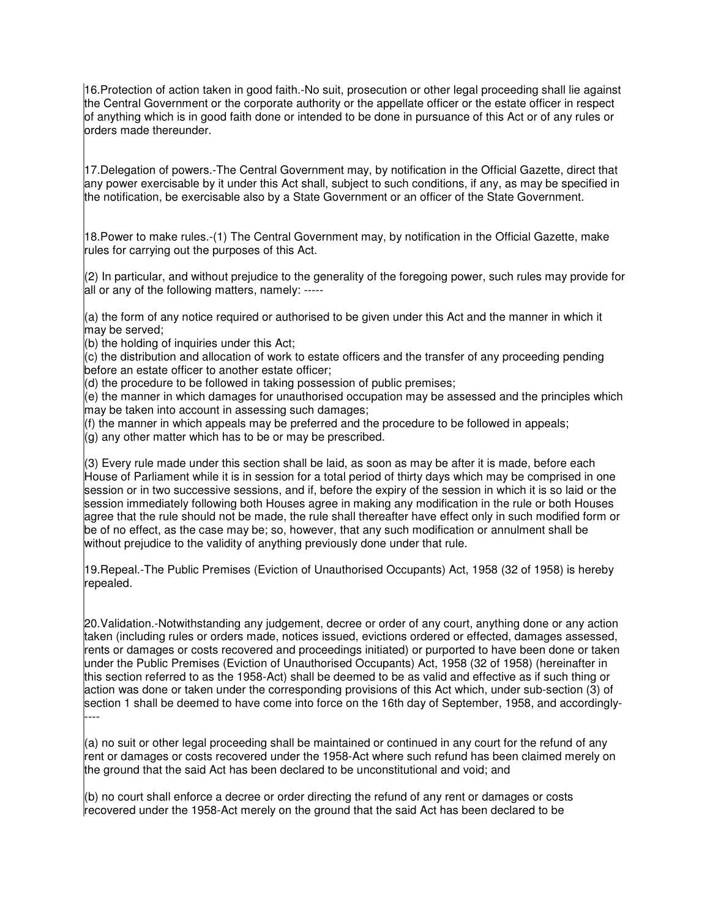16.Protection of action taken in good faith.-No suit, prosecution or other legal proceeding shall lie against the Central Government or the corporate authority or the appellate officer or the estate officer in respect of anything which is in good faith done or intended to be done in pursuance of this Act or of any rules or orders made thereunder.

17.Delegation of powers.-The Central Government may, by notification in the Official Gazette, direct that any power exercisable by it under this Act shall, subject to such conditions, if any, as may be specified in the notification, be exercisable also by a State Government or an officer of the State Government.

18.Power to make rules.-(1) The Central Government may, by notification in the Official Gazette, make rules for carrying out the purposes of this Act.

 $(2)$  In particular, and without prejudice to the generality of the foregoing power, such rules may provide for all or any of the following matters, namely: -----

(a) the form of any notice required or authorised to be given under this Act and the manner in which it may be served;

(b) the holding of inquiries under this Act;

(c) the distribution and allocation of work to estate officers and the transfer of any proceeding pending before an estate officer to another estate officer;

 $\vert$ (d) the procedure to be followed in taking possession of public premises;

(e) the manner in which damages for unauthorised occupation may be assessed and the principles which may be taken into account in assessing such damages;

 $(f)$  the manner in which appeals may be preferred and the procedure to be followed in appeals;

 $\vert$ (g) any other matter which has to be or may be prescribed.

(3) Every rule made under this section shall be laid, as soon as may be after it is made, before each House of Parliament while it is in session for a total period of thirty days which may be comprised in one session or in two successive sessions, and if, before the expiry of the session in which it is so laid or the session immediately following both Houses agree in making any modification in the rule or both Houses agree that the rule should not be made, the rule shall thereafter have effect only in such modified form or be of no effect, as the case may be; so, however, that any such modification or annulment shall be without prejudice to the validity of anything previously done under that rule.

19.Repeal.-The Public Premises (Eviction of Unauthorised Occupants) Act, 1958 (32 of 1958) is hereby repealed.

20.Validation.-Notwithstanding any judgement, decree or order of any court, anything done or any action taken (including rules or orders made, notices issued, evictions ordered or effected, damages assessed, rents or damages or costs recovered and proceedings initiated) or purported to have been done or taken under the Public Premises (Eviction of Unauthorised Occupants) Act, 1958 (32 of 1958) (hereinafter in this section referred to as the 1958-Act) shall be deemed to be as valid and effective as if such thing or action was done or taken under the corresponding provisions of this Act which, under sub-section (3) of section 1 shall be deemed to have come into force on the 16th day of September, 1958, and accordingly- ----

(a) no suit or other legal proceeding shall be maintained or continued in any court for the refund of any rent or damages or costs recovered under the 1958-Act where such refund has been claimed merely on the ground that the said Act has been declared to be unconstitutional and void; and

 $|$ (b) no court shall enforce a decree or order directing the refund of any rent or damages or costs recovered under the 1958-Act merely on the ground that the said Act has been declared to be